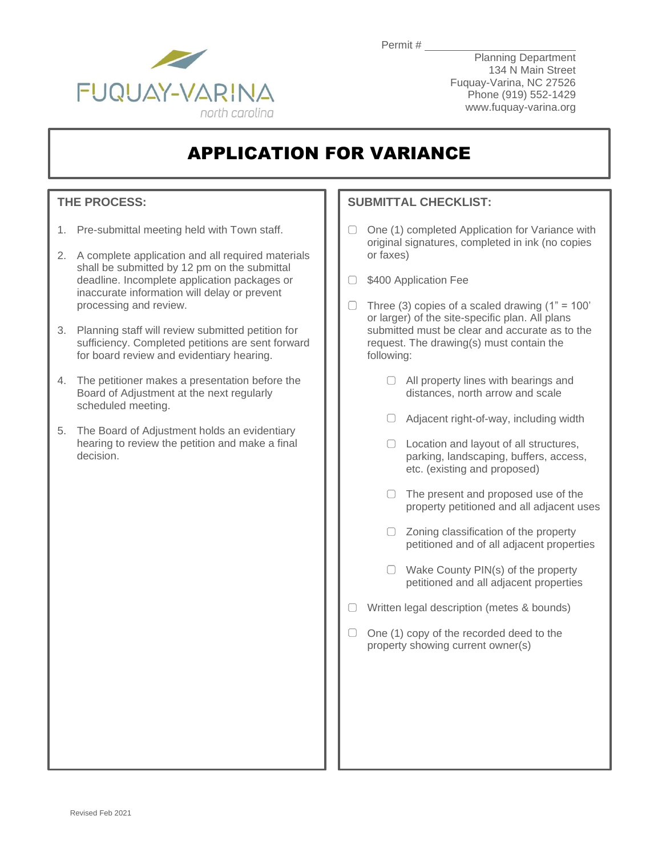Permit #



Planning Department 134 N Main Street Fuquay-Varina, NC 27526 Phone (919) 552-1429 www.fuquay-varina.org

# APPLICATION FOR VARIANCE

## **THE PROCESS:**

- 1. Pre-submittal meeting held with Town staff.
- 2. A complete application and all required materials shall be submitted by 12 pm on the submittal deadline. Incomplete application packages or inaccurate information will delay or prevent processing and review.
- 3. Planning staff will review submitted petition for sufficiency. Completed petitions are sent forward for board review and evidentiary hearing.
- 4. The petitioner makes a presentation before the Board of Adjustment at the next regularly scheduled meeting.
- 5. The Board of Adjustment holds an evidentiary hearing to review the petition and make a final decision.

## **SUBMITTAL CHECKLIST:**

- $\Box$ One (1) completed Application for Variance with original signatures, completed in ink (no copies or faxes)
- ◯ \$400 Application Fee
- $\Box$  Three (3) copies of a scaled drawing (1" = 100' or larger) of the site-specific plan. All plans submitted must be clear and accurate as to the request. The drawing(s) must contain the following:
	- □ All property lines with bearings and distances, north arrow and scale
	- $\Box$  Adjacent right-of-way, including width
	- □ Location and layout of all structures, parking, landscaping, buffers, access, etc. (existing and proposed)
	- $\Box$  The present and proposed use of the property petitioned and all adjacent uses
	- $\Box$  Zoning classification of the property petitioned and of all adjacent properties
	- $\Box$  Wake County PIN(s) of the property petitioned and all adjacent properties
- $\Box$  Written legal description (metes & bounds)
- $\Box$  One (1) copy of the recorded deed to the property showing current owner(s)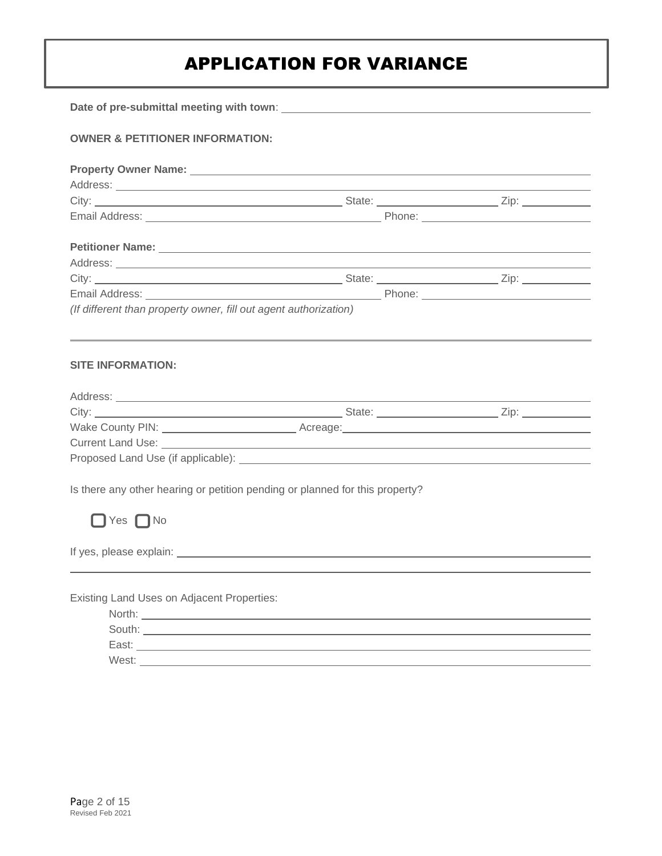| <b>OWNER &amp; PETITIONER INFORMATION:</b>                                   |  |  |  |
|------------------------------------------------------------------------------|--|--|--|
|                                                                              |  |  |  |
|                                                                              |  |  |  |
|                                                                              |  |  |  |
|                                                                              |  |  |  |
|                                                                              |  |  |  |
|                                                                              |  |  |  |
|                                                                              |  |  |  |
|                                                                              |  |  |  |
| (If different than property owner, fill out agent authorization)             |  |  |  |
|                                                                              |  |  |  |
| <b>SITE INFORMATION:</b>                                                     |  |  |  |
|                                                                              |  |  |  |
|                                                                              |  |  |  |
|                                                                              |  |  |  |
|                                                                              |  |  |  |
|                                                                              |  |  |  |
| Is there any other hearing or petition pending or planned for this property? |  |  |  |
| $\Box$ Yes $\Box$ No                                                         |  |  |  |
|                                                                              |  |  |  |
|                                                                              |  |  |  |
|                                                                              |  |  |  |
| Existing Land Uses on Adjacent Properties:                                   |  |  |  |
|                                                                              |  |  |  |
|                                                                              |  |  |  |
|                                                                              |  |  |  |

East: West: <u>www.community.community.community.com</u>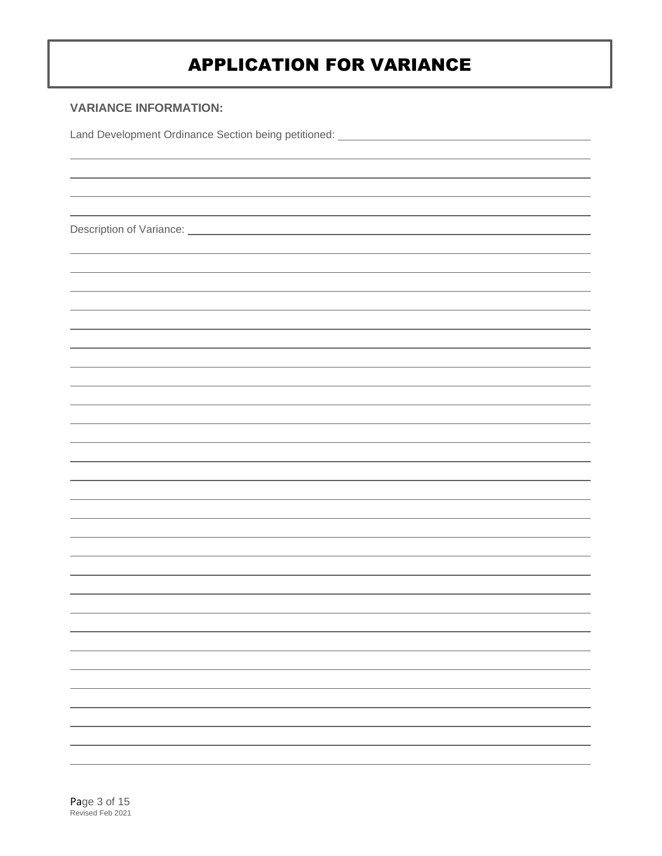## **VARIANCE INFORMATION:**

Land Development Ordinance Section being petitioned: \_\_\_\_\_\_\_\_\_\_\_\_\_\_\_\_\_\_\_\_\_\_\_\_\_\_\_\_

Description of Variance: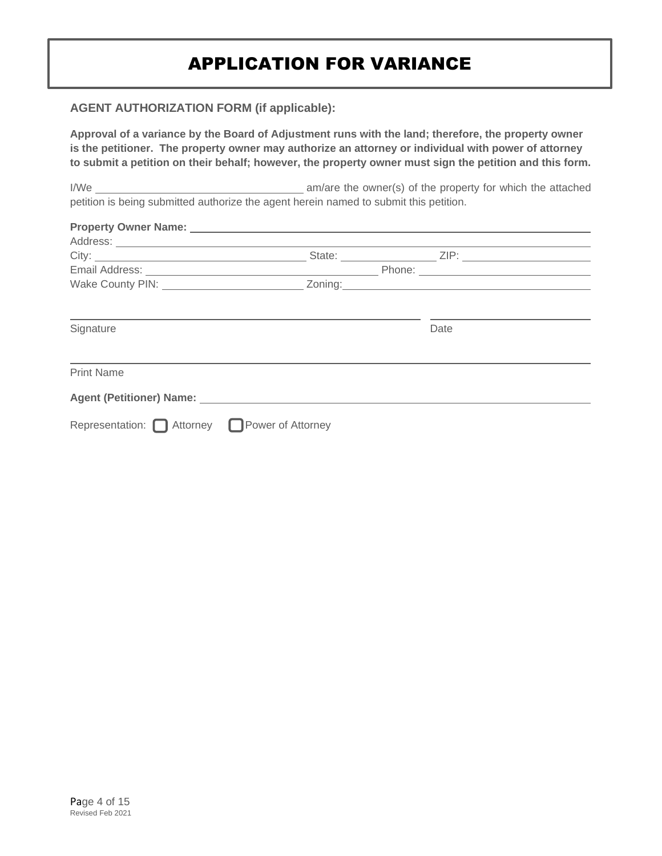### **AGENT AUTHORIZATION FORM (if applicable):**

**Approval of a variance by the Board of Adjustment runs with the land; therefore, the property owner is the petitioner. The property owner may authorize an attorney or individual with power of attorney to submit a petition on their behalf; however, the property owner must sign the petition and this form.**

I/We am/are the owner(s) of the property for which the attached petition is being submitted authorize the agent herein named to submit this petition.

| Signature                                      |  |  | Date |  |
|------------------------------------------------|--|--|------|--|
| <b>Print Name</b>                              |  |  |      |  |
|                                                |  |  |      |  |
| Representation: □ Attorney □ Power of Attorney |  |  |      |  |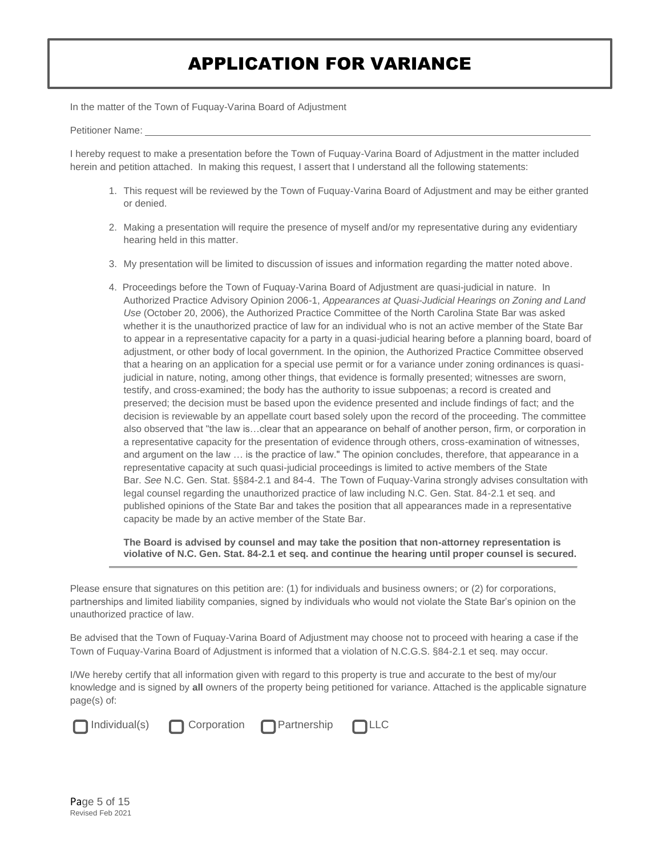In the matter of the Town of Fuquay-Varina Board of Adjustment

Petitioner Name:

I hereby request to make a presentation before the Town of Fuquay-Varina Board of Adjustment in the matter included herein and petition attached. In making this request, I assert that I understand all the following statements:

- 1. This request will be reviewed by the Town of Fuquay-Varina Board of Adjustment and may be either granted or denied.
- 2. Making a presentation will require the presence of myself and/or my representative during any evidentiary hearing held in this matter.
- 3. My presentation will be limited to discussion of issues and information regarding the matter noted above.
- 4. Proceedings before the Town of Fuquay-Varina Board of Adjustment are quasi-judicial in nature. In Authorized Practice Advisory Opinion 2006-1, *Appearances at Quasi-Judicial Hearings on Zoning and Land Use* (October 20, 2006), the Authorized Practice Committee of the North Carolina State Bar was asked whether it is the unauthorized practice of law for an individual who is not an active member of the State Bar to appear in a representative capacity for a party in a quasi-judicial hearing before a planning board, board of adjustment, or other body of local government. In the opinion, the Authorized Practice Committee observed that a hearing on an application for a special use permit or for a variance under zoning ordinances is quasijudicial in nature, noting, among other things, that evidence is formally presented; witnesses are sworn, testify, and cross-examined; the body has the authority to issue subpoenas; a record is created and preserved; the decision must be based upon the evidence presented and include findings of fact; and the decision is reviewable by an appellate court based solely upon the record of the proceeding. The committee also observed that "the law is…clear that an appearance on behalf of another person, firm, or corporation in a representative capacity for the presentation of evidence through others, cross-examination of witnesses, and argument on the law … is the practice of law." The opinion concludes, therefore, that appearance in a representative capacity at such quasi-judicial proceedings is limited to active members of the State Bar. *See* N.C. Gen. Stat. §§84-2.1 and 84-4. The Town of Fuquay-Varina strongly advises consultation with legal counsel regarding the unauthorized practice of law including N.C. Gen. Stat. 84-2.1 et seq. and published opinions of the State Bar and takes the position that all appearances made in a representative capacity be made by an active member of the State Bar.

**The Board is advised by counsel and may take the position that non-attorney representation is violative of N.C. Gen. Stat. 84-2.1 et seq. and continue the hearing until proper counsel is secured.**

Please ensure that signatures on this petition are: (1) for individuals and business owners; or (2) for corporations, partnerships and limited liability companies, signed by individuals who would not violate the State Bar's opinion on the unauthorized practice of law.

Be advised that the Town of Fuquay-Varina Board of Adjustment may choose not to proceed with hearing a case if the Town of Fuquay-Varina Board of Adjustment is informed that a violation of N.C.G.S. §84-2.1 et seq. may occur.

I/We hereby certify that all information given with regard to this property is true and accurate to the best of my/our knowledge and is signed by **all** owners of the property being petitioned for variance. Attached is the applicable signature page(s) of:



Individual(s) Corporation Partnership LLC

j

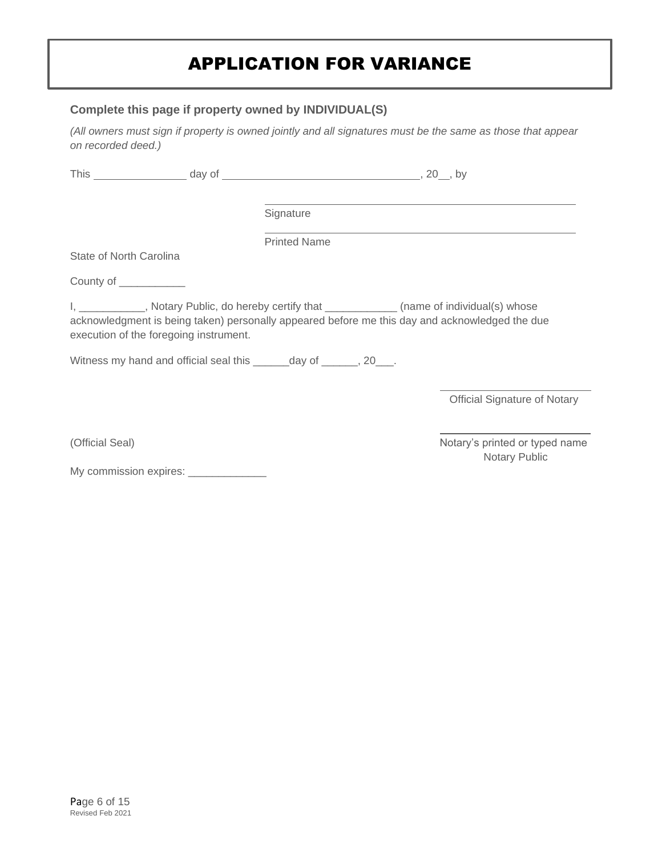### **Complete this page if property owned by INDIVIDUAL(S)**

*(All owners must sign if property is owned jointly and all signatures must be the same as those that appear on recorded deed.)*

|                         |                                        | Signature                                                                                     |                                                                                                |
|-------------------------|----------------------------------------|-----------------------------------------------------------------------------------------------|------------------------------------------------------------------------------------------------|
|                         |                                        | <b>Printed Name</b>                                                                           |                                                                                                |
| State of North Carolina |                                        |                                                                                               |                                                                                                |
| County of ____________  |                                        |                                                                                               |                                                                                                |
|                         | execution of the foregoing instrument. | I, __________, Notary Public, do hereby certify that ____________(name of individual(s) whose | acknowledgment is being taken) personally appeared before me this day and acknowledged the due |
|                         |                                        | Witness my hand and official seal this ________ day of _______, 20____.                       |                                                                                                |
|                         |                                        |                                                                                               | <b>Official Signature of Notary</b>                                                            |
| (Official Seal)         |                                        |                                                                                               | Notary's printed or typed name<br>Notary Public                                                |
|                         | My commission expires: ______________  |                                                                                               |                                                                                                |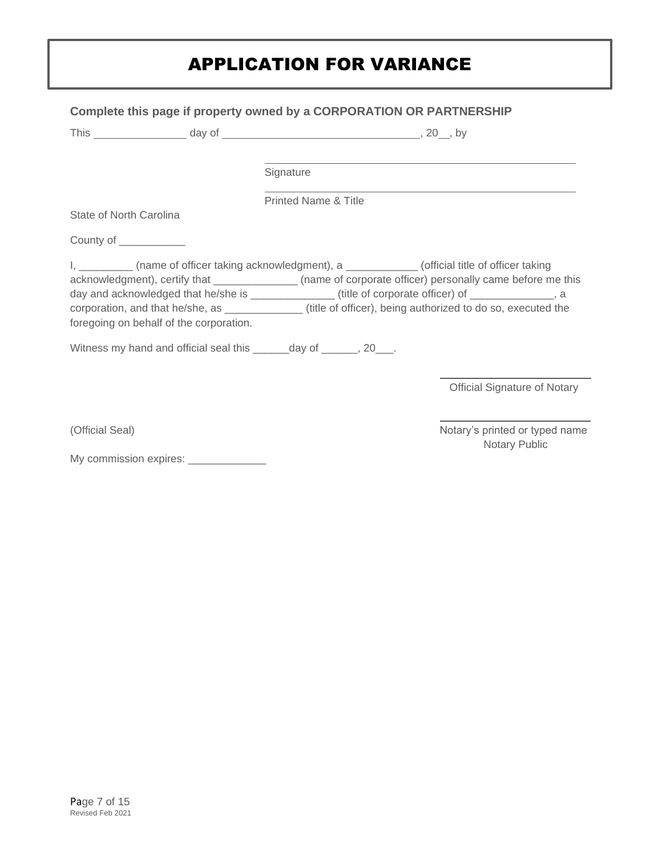|                                 | Complete this page if property owned by a CORPORATION OR PARTNERSHIP |                                 |                                                                                                                                                                                                                                                                                                                                                                                                                                             |
|---------------------------------|----------------------------------------------------------------------|---------------------------------|---------------------------------------------------------------------------------------------------------------------------------------------------------------------------------------------------------------------------------------------------------------------------------------------------------------------------------------------------------------------------------------------------------------------------------------------|
|                                 |                                                                      |                                 |                                                                                                                                                                                                                                                                                                                                                                                                                                             |
|                                 |                                                                      | Signature                       |                                                                                                                                                                                                                                                                                                                                                                                                                                             |
|                                 |                                                                      | <b>Printed Name &amp; Title</b> |                                                                                                                                                                                                                                                                                                                                                                                                                                             |
| State of North Carolina         |                                                                      |                                 |                                                                                                                                                                                                                                                                                                                                                                                                                                             |
| County of ____________          |                                                                      |                                 |                                                                                                                                                                                                                                                                                                                                                                                                                                             |
|                                 | foregoing on behalf of the corporation.                              |                                 | I, ___________ (name of officer taking acknowledgment), a ______________ (official title of officer taking<br>acknowledgment), certify that _______________ (name of corporate officer) personally came before me this<br>day and acknowledged that he/she is _______________(title of corporate officer) of ______________, a<br>corporation, and that he/she, as _____________(title of officer), being authorized to do so, executed the |
|                                 | Witness my hand and official seal this _______ day of ______, 20___. |                                 |                                                                                                                                                                                                                                                                                                                                                                                                                                             |
|                                 |                                                                      |                                 | <b>Official Signature of Notary</b>                                                                                                                                                                                                                                                                                                                                                                                                         |
| (Official Seal)                 |                                                                      |                                 | Notary's printed or typed name<br>Notary Public                                                                                                                                                                                                                                                                                                                                                                                             |
| My commission expires: ________ |                                                                      |                                 |                                                                                                                                                                                                                                                                                                                                                                                                                                             |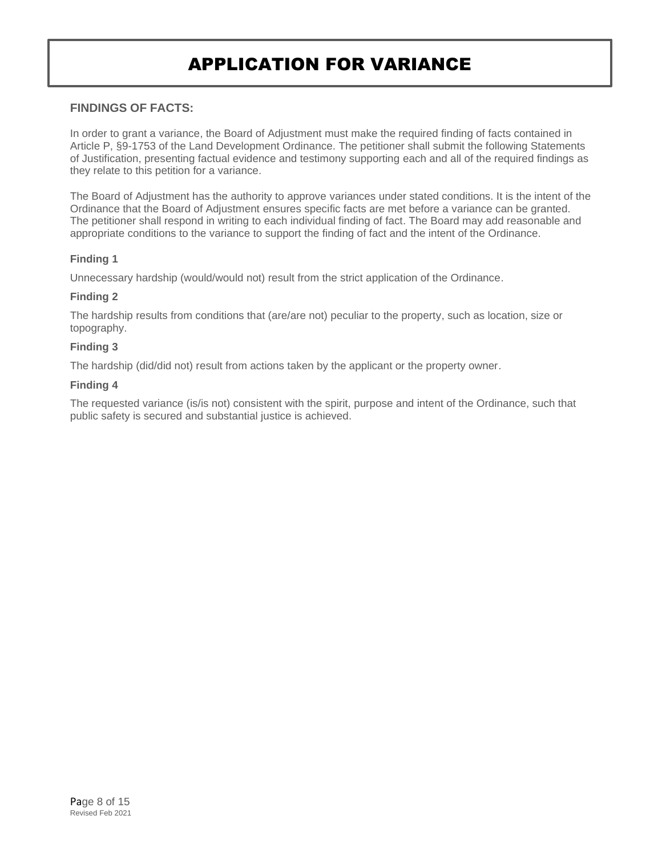### **FINDINGS OF FACTS:**

In order to grant a variance, the Board of Adjustment must make the required finding of facts contained in Article P, §9-1753 of the Land Development Ordinance. The petitioner shall submit the following Statements of Justification, presenting factual evidence and testimony supporting each and all of the required findings as they relate to this petition for a variance.

The Board of Adjustment has the authority to approve variances under stated conditions. It is the intent of the Ordinance that the Board of Adjustment ensures specific facts are met before a variance can be granted. The petitioner shall respond in writing to each individual finding of fact. The Board may add reasonable and appropriate conditions to the variance to support the finding of fact and the intent of the Ordinance.

### **Finding 1**

Unnecessary hardship (would/would not) result from the strict application of the Ordinance.

### **Finding 2**

The hardship results from conditions that (are/are not) peculiar to the property, such as location, size or topography.

#### **Finding 3**

The hardship (did/did not) result from actions taken by the applicant or the property owner.

#### **Finding 4**

The requested variance (is/is not) consistent with the spirit, purpose and intent of the Ordinance, such that public safety is secured and substantial justice is achieved.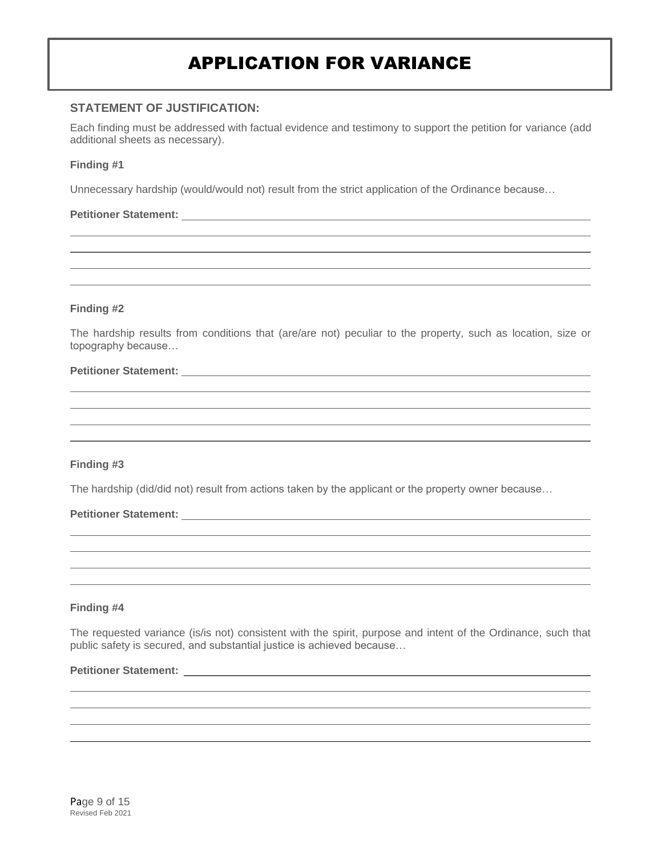### **STATEMENT OF JUSTIFICATION:**

Each finding must be addressed with factual evidence and testimony to support the petition for variance (add additional sheets as necessary).

#### **Finding #1**

Unnecessary hardship (would/would not) result from the strict application of the Ordinance because…

#### **Petitioner Statement:**

#### **Finding #2**

The hardship results from conditions that (are/are not) peculiar to the property, such as location, size or topography because…

#### **Petitioner Statement:**

#### **Finding #3**

The hardship (did/did not) result from actions taken by the applicant or the property owner because…

#### **Petitioner Statement:**

#### **Finding #4**

The requested variance (is/is not) consistent with the spirit, purpose and intent of the Ordinance, such that public safety is secured, and substantial justice is achieved because…

## **Petitioner Statement:**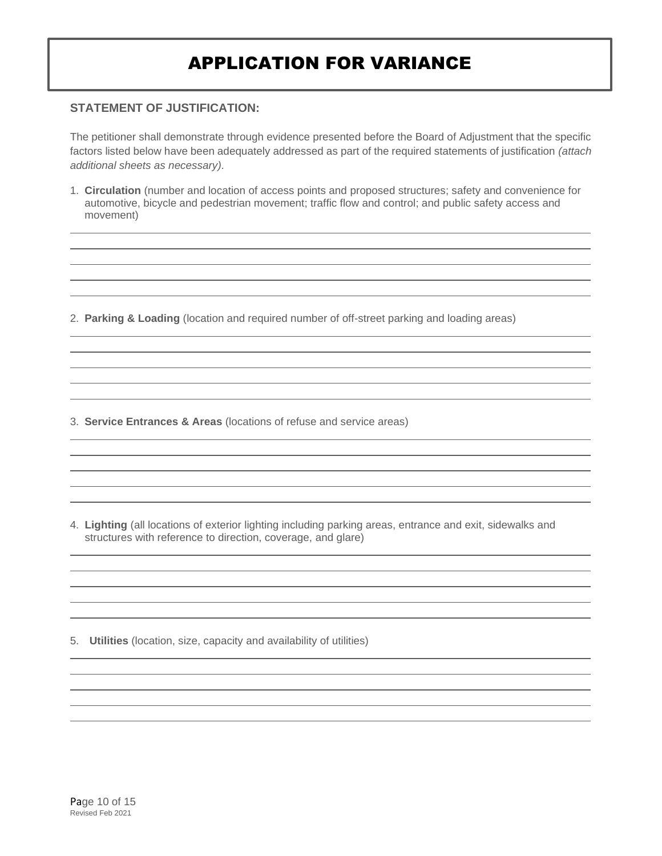### **STATEMENT OF JUSTIFICATION:**

The petitioner shall demonstrate through evidence presented before the Board of Adjustment that the specific factors listed below have been adequately addressed as part of the required statements of justification *(attach additional sheets as necessary).*

1. **Circulation** (number and location of access points and proposed structures; safety and convenience for automotive, bicycle and pedestrian movement; traffic flow and control; and public safety access and movement)

2. **Parking & Loading** (location and required number of off-street parking and loading areas)

3. **Service Entrances & Areas** (locations of refuse and service areas)

4. **Lighting** (all locations of exterior lighting including parking areas, entrance and exit, sidewalks and structures with reference to direction, coverage, and glare)

5. **Utilities** (location, size, capacity and availability of utilities)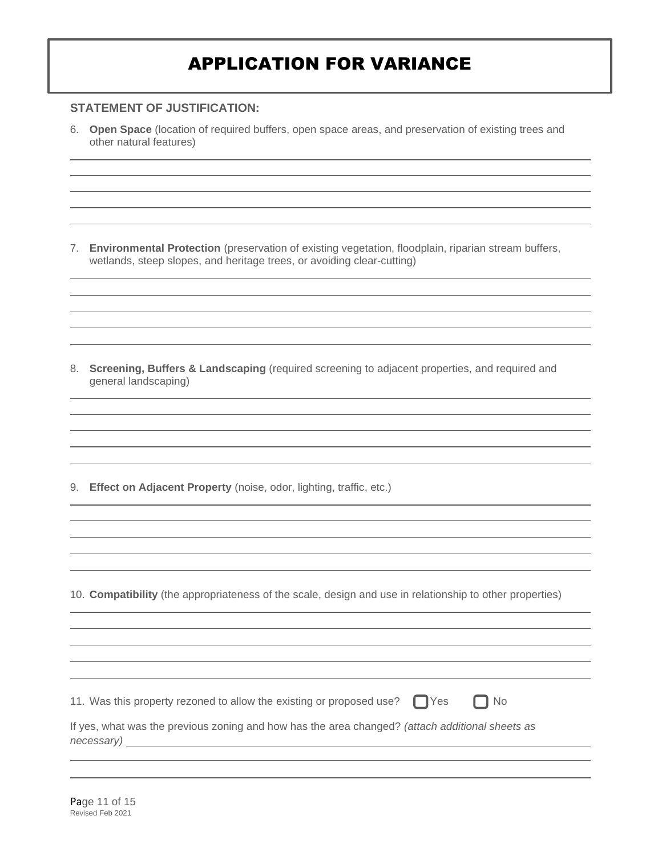### **STATEMENT OF JUSTIFICATION:**

6. **Open Space** (location of required buffers, open space areas, and preservation of existing trees and other natural features)

7. **Environmental Protection** (preservation of existing vegetation, floodplain, riparian stream buffers, wetlands, steep slopes, and heritage trees, or avoiding clear-cutting)

8. **Screening, Buffers & Landscaping** (required screening to adjacent properties, and required and general landscaping)

9. **Effect on Adjacent Property** (noise, odor, lighting, traffic, etc.)

10. **Compatibility** (the appropriateness of the scale, design and use in relationship to other properties)

11. Was this property rezoned to allow the existing or proposed use?  $\Box$  Yes  $\Box$  No

If yes, what was the previous zoning and how has the area changed? *(attach additional sheets as necessary)*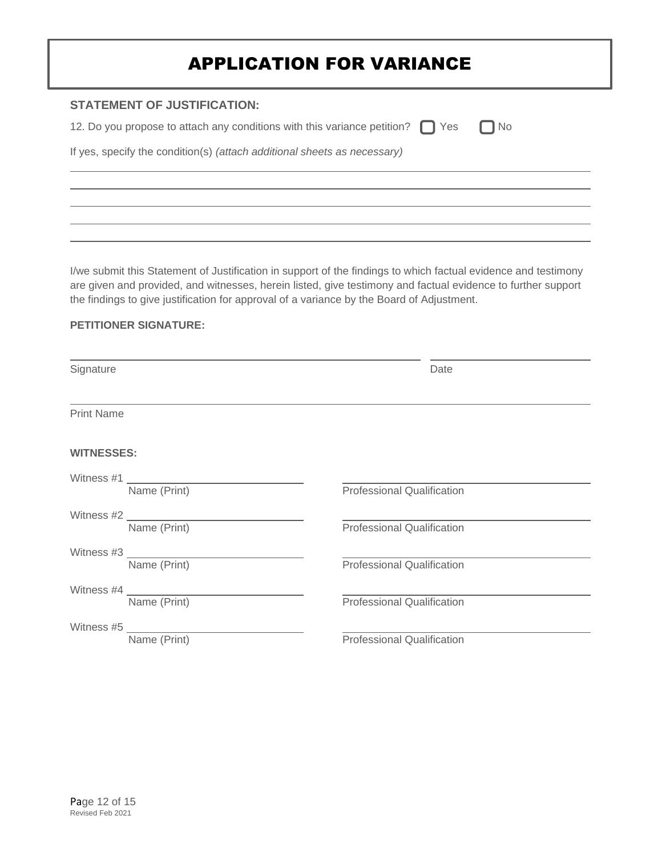| <b>STATEMENT OF JUSTIFICATION:</b>                                                  |           |
|-------------------------------------------------------------------------------------|-----------|
| 12. Do you propose to attach any conditions with this variance petition? $\Box$ Yes | $\Box$ No |
| If yes, specify the condition(s) (attach additional sheets as necessary)            |           |
|                                                                                     |           |
|                                                                                     |           |
|                                                                                     |           |

I/we submit this Statement of Justification in support of the findings to which factual evidence and testimony are given and provided, and witnesses, herein listed, give testimony and factual evidence to further support the findings to give justification for approval of a variance by the Board of Adjustment.

### **PETITIONER SIGNATURE:**

| Signature         |                                        | Date                              |
|-------------------|----------------------------------------|-----------------------------------|
| <b>Print Name</b> |                                        |                                   |
| <b>WITNESSES:</b> |                                        |                                   |
| Witness #1        | Name (Print)                           | <b>Professional Qualification</b> |
|                   | Name (Print)                           | <b>Professional Qualification</b> |
|                   | Witness #3 ___________<br>Name (Print) | <b>Professional Qualification</b> |
| Witness #4 $\_\_$ | Name (Print)                           | <b>Professional Qualification</b> |
| Witness #5        | Name (Print)                           | <b>Professional Qualification</b> |
|                   |                                        |                                   |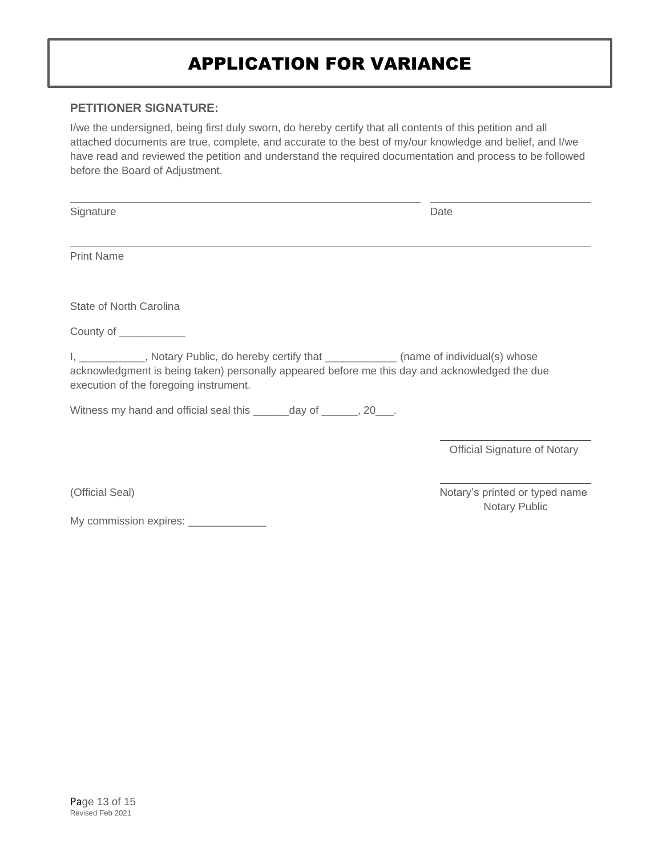### **PETITIONER SIGNATURE:**

I/we the undersigned, being first duly sworn, do hereby certify that all contents of this petition and all attached documents are true, complete, and accurate to the best of my/our knowledge and belief, and I/we have read and reviewed the petition and understand the required documentation and process to be followed before the Board of Adjustment.

Signature Date

Print Name

State of North Carolina

County of \_\_\_\_\_\_\_\_\_\_\_

I, \_\_\_\_\_\_\_\_\_\_, Notary Public, do hereby certify that \_\_\_\_\_\_\_\_\_\_\_\_(name of individual(s) whose acknowledgment is being taken) personally appeared before me this day and acknowledged the due execution of the foregoing instrument.

Witness my hand and official seal this \_\_\_\_\_\_day of \_\_\_\_\_\_, 20\_\_\_.

Official Signature of Notary

My commission expires: \_\_\_\_\_\_\_\_\_\_\_\_

(Official Seal) Notary's printed or typed name Notary Public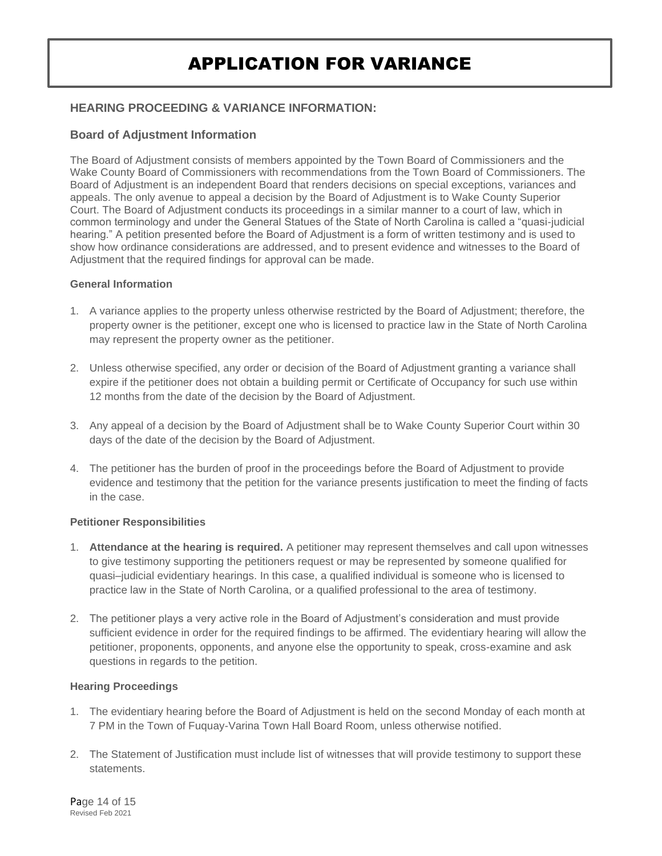### **HEARING PROCEEDING & VARIANCE INFORMATION:**

### **Board of Adjustment Information**

The Board of Adjustment consists of members appointed by the Town Board of Commissioners and the Wake County Board of Commissioners with recommendations from the Town Board of Commissioners. The Board of Adjustment is an independent Board that renders decisions on special exceptions, variances and appeals. The only avenue to appeal a decision by the Board of Adjustment is to Wake County Superior Court. The Board of Adjustment conducts its proceedings in a similar manner to a court of law, which in common terminology and under the General Statues of the State of North Carolina is called a "quasi-judicial hearing." A petition presented before the Board of Adjustment is a form of written testimony and is used to show how ordinance considerations are addressed, and to present evidence and witnesses to the Board of Adjustment that the required findings for approval can be made.

#### **General Information**

- 1. A variance applies to the property unless otherwise restricted by the Board of Adjustment; therefore, the property owner is the petitioner, except one who is licensed to practice law in the State of North Carolina may represent the property owner as the petitioner.
- 2. Unless otherwise specified, any order or decision of the Board of Adjustment granting a variance shall expire if the petitioner does not obtain a building permit or Certificate of Occupancy for such use within 12 months from the date of the decision by the Board of Adjustment.
- 3. Any appeal of a decision by the Board of Adjustment shall be to Wake County Superior Court within 30 days of the date of the decision by the Board of Adjustment.
- 4. The petitioner has the burden of proof in the proceedings before the Board of Adjustment to provide evidence and testimony that the petition for the variance presents justification to meet the finding of facts in the case.

### **Petitioner Responsibilities**

- 1. **Attendance at the hearing is required.** A petitioner may represent themselves and call upon witnesses to give testimony supporting the petitioners request or may be represented by someone qualified for quasi–judicial evidentiary hearings. In this case, a qualified individual is someone who is licensed to practice law in the State of North Carolina, or a qualified professional to the area of testimony.
- 2. The petitioner plays a very active role in the Board of Adjustment's consideration and must provide sufficient evidence in order for the required findings to be affirmed. The evidentiary hearing will allow the petitioner, proponents, opponents, and anyone else the opportunity to speak, cross-examine and ask questions in regards to the petition.

### **Hearing Proceedings**

- 1. The evidentiary hearing before the Board of Adjustment is held on the second Monday of each month at 7 PM in the Town of Fuquay-Varina Town Hall Board Room, unless otherwise notified.
- 2. The Statement of Justification must include list of witnesses that will provide testimony to support these statements.